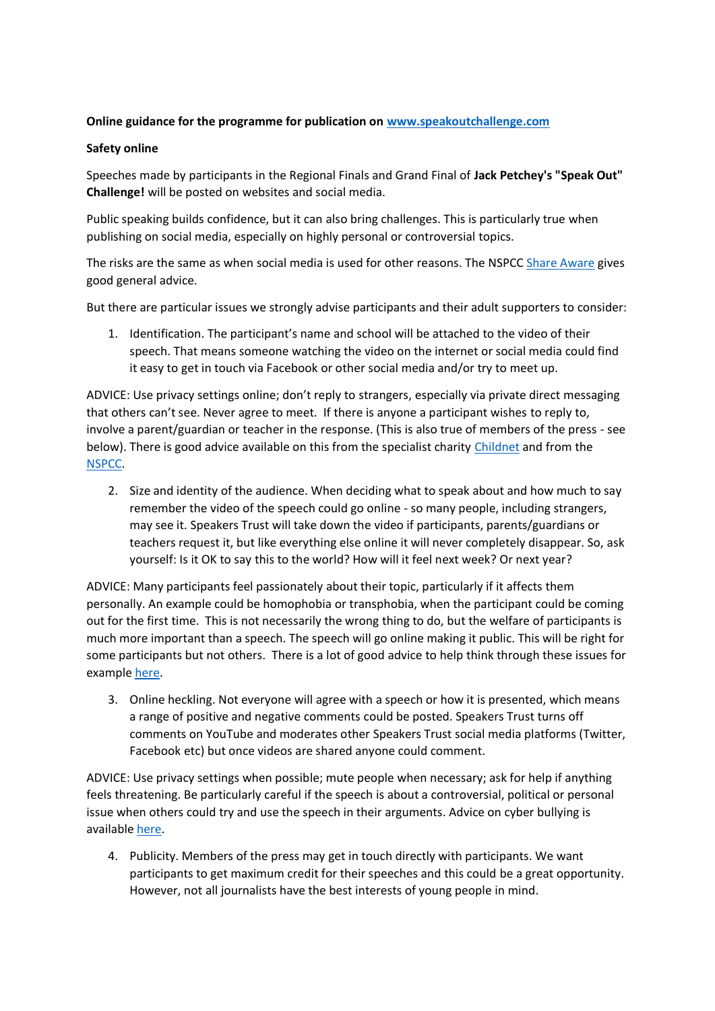## **Online guidance for the programme for publication on [www.speakoutchallenge.com](http://www.speakoutchallenge.com/)**

## **Safety online**

Speeches made by participants in the Regional Finals and Grand Final of **Jack Petchey's "Speak Out" Challenge!** will be posted on websites and social media.

Public speaking builds confidence, but it can also bring challenges. This is particularly true when publishing on social media, especially on highly personal or controversial topics.

The risks are the same as when social media is used for other reasons. The NSPCC [Share Aware](https://www.nspcc.org.uk/preventing-abuse/keeping-children-safe/share-aware/) gives good general advice.

But there are particular issues we strongly advise participants and their adult supporters to consider:

1. Identification. The participant's name and school will be attached to the video of their speech. That means someone watching the video on the internet or social media could find it easy to get in touch via Facebook or other social media and/or try to meet up.

ADVICE: Use privacy settings online; don't reply to strangers, especially via private direct messaging that others can't see. Never agree to meet. If there is anyone a participant wishes to reply to, involve a parent/guardian or teacher in the response. (This is also true of members of the press - see below). There is good advice available on this from the specialist charity [Childnet](http://www.childnet.com/ufiles/Social-networking-leaflet.pdf) and from the [NSPCC.](https://www.nspcc.org.uk/preventing-abuse/keeping-children-safe/share-aware/)

2. Size and identity of the audience. When deciding what to speak about and how much to say remember the video of the speech could go online - so many people, including strangers, may see it. Speakers Trust will take down the video if participants, parents/guardians or teachers request it, but like everything else online it will never completely disappear. So, ask yourself: Is it OK to say this to the world? How will it feel next week? Or next year?

ADVICE: Many participants feel passionately about their topic, particularly if it affects them personally. An example could be homophobia or transphobia, when the participant could be coming out for the first time. This is not necessarily the wrong thing to do, but the welfare of participants is much more important than a speech. The speech will go online making it public. This will be right for some participants but not others. There is a lot of good advice to help think through these issues for exampl[e here.](http://www.stonewall.org.uk/help-advice/coming-out/coming-out-young-person)

3. Online heckling. Not everyone will agree with a speech or how it is presented, which means a range of positive and negative comments could be posted. Speakers Trust turns off comments on YouTube and moderates other Speakers Trust social media platforms (Twitter, Facebook etc) but once videos are shared anyone could comment.

ADVICE: Use privacy settings when possible; mute people when necessary; ask for help if anything feels threatening. Be particularly careful if the speech is about a controversial, political or personal issue when others could try and use the speech in their arguments. Advice on cyber bullying is available [here.](http://www.childnet.com/resources/cyberbullying-guidance-for-schools)

4. Publicity. Members of the press may get in touch directly with participants. We want participants to get maximum credit for their speeches and this could be a great opportunity. However, not all journalists have the best interests of young people in mind.